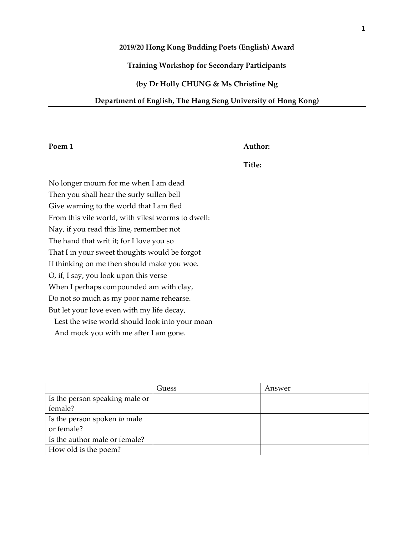### **2019/20 Hong Kong Budding Poets (English) Award**

# **Training Workshop for Secondary Participants**

## **(by Dr Holly CHUNG & Ms Christine Ng**

### **Department of English, The Hang Seng University of Hong Kong)**

### Poem 1 Author:

**Title:**

No longer mourn for me when I am dead Then you shall hear the surly sullen bell Give warning to the world that I am fled From this vile world, with vilest worms to dwell: Nay, if you read this line, remember not The hand that writ it; for I love you so That I in your sweet thoughts would be forgot If thinking on me then should make you woe. O, if, I say, you look upon this verse When I perhaps compounded am with clay, Do not so much as my poor name rehearse. But let your love even with my life decay, Lest the wise world should look into your moan

And mock you with me after I am gone.

|                                | Guess | Answer |
|--------------------------------|-------|--------|
| Is the person speaking male or |       |        |
| female?                        |       |        |
| Is the person spoken to male   |       |        |
| or female?                     |       |        |
| Is the author male or female?  |       |        |
| How old is the poem?           |       |        |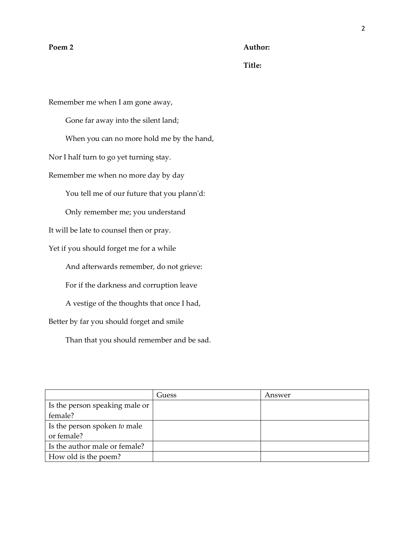### **Poem 2 Author:**

**Title:**

Remember me when I am gone away, Gone far away into the silent land; When you can no more hold me by the hand, Nor I half turn to go yet turning stay. Remember me when no more day by day You tell me of our future that you plann'd: Only remember me; you understand It will be late to counsel then or pray. Yet if you should forget me for a while And afterwards remember, do not grieve: For if the darkness and corruption leave A vestige of the thoughts that once I had, Better by far you should forget and smile

Than that you should remember and be sad.

|                                | Guess | Answer |
|--------------------------------|-------|--------|
| Is the person speaking male or |       |        |
| female?                        |       |        |
| Is the person spoken to male   |       |        |
| or female?                     |       |        |
| Is the author male or female?  |       |        |
| How old is the poem?           |       |        |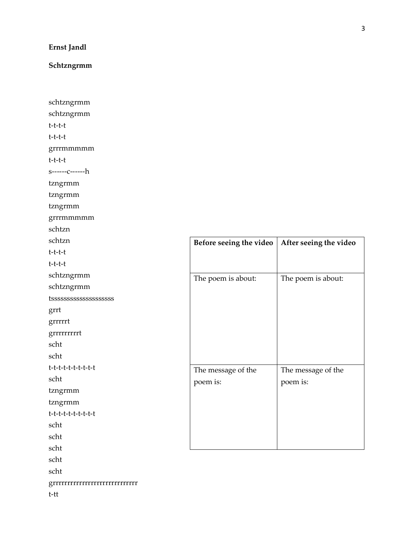# **Ernst Jandl**

# **Schtzngrmm**

| schtzngrmm                        |                         |
|-----------------------------------|-------------------------|
| schtzngrmm                        |                         |
| t-t-t-t                           |                         |
| t-t-t-t                           |                         |
| grrrmmmmm                         |                         |
| t-t-t-t                           |                         |
| $s$ ------ $c$ -------h           |                         |
| tzngrmm                           |                         |
| tzngrmm                           |                         |
| tzngrmm                           |                         |
| grrrmmmmm                         |                         |
| schtzn                            |                         |
| schtzn                            | Before seeing the video |
| t-t-t-t                           |                         |
| t-t-t-t                           |                         |
| schtzngrmm                        | The poem is about:      |
| schtzngrmm                        |                         |
|                                   |                         |
| grrt                              |                         |
| grrrrrt                           |                         |
| grrrrrrrrt                        |                         |
| scht                              |                         |
| scht                              |                         |
| t-t-t-t-t-t-t-t-t-t               | The message of the      |
| scht                              | poem is:                |
| tzngrmm                           |                         |
| tzngrmm                           |                         |
| t-t-t-t-t-t-t-t-t-t               |                         |
| scht                              |                         |
| scht                              |                         |
| scht                              |                         |
| scht                              |                         |
| scht                              |                         |
| grrrrrrrrrrrrrrrrrrrrrrrrrrrrrrrr |                         |
| $t$ - $tt$                        |                         |

**Before seeing the video After seeing the video**

The poem is about:

The message of the

poem is: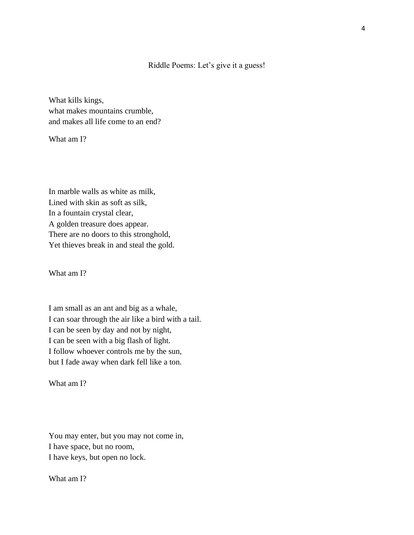## Riddle Poems: Let's give it a guess!

What kills kings, what makes mountains crumble, and makes all life come to an end?

What am I?

In marble walls as white as milk, Lined with skin as soft as silk, In a fountain crystal clear, A golden treasure does appear. There are no doors to this stronghold, Yet thieves break in and steal the gold.

What am I?

I am small as an ant and big as a whale, I can soar through the air like a bird with a tail. I can be seen by day and not by night, I can be seen with a big flash of light. I follow whoever controls me by the sun, but I fade away when dark fell like a ton.

What am I?

You may enter, but you may not come in, I have space, but no room, I have keys, but open no lock.

What am I?